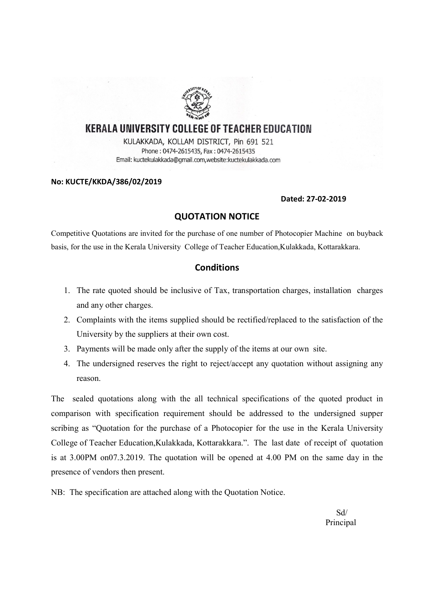

## **KERALA UNIVERSITY COLLEGE OF TEACHER EDUCATION**

KULAKKADA, KOLLAM DISTRICT, Pin 691 521 Phone: 0474-2615435, Fax: 0474-2615435 Email: kuctekulakkada@gmail.com,website:kuctekulakkada.com

#### No: KUCTE/KKDA/386/02/2019

#### Dated: 27-02-2019

## QUOTATION NOTICE

Competitive Quotations are invited for the purchase of one number of Photocopier Machine on buyback basis, for the use in the Kerala University College of Teacher Education,Kulakkada, Kottarakkara.

## **Conditions**

- 1. The rate quoted should be inclusive of Tax, transportation charges, installation charges and any other charges.
- 2. Complaints with the items supplied should be rectified/replaced to the satisfaction of the University by the suppliers at their own cost.
- 3. Payments will be made only after the supply of the items at our own site.
- 4. The undersigned reserves the right to reject/accept any quotation without assigning any reason.

The sealed quotations along with the all technical specifications of the quoted product in comparison with specification requirement should be addressed to the undersigned supper scribing as "Quotation for the purchase of a Photocopier for the use in the Kerala University College of Teacher Education,Kulakkada, Kottarakkara.". The last date of receipt of quotation is at 3.00PM on07.3.2019. The quotation will be opened at 4.00 PM on the same day in the presence of vendors then present.

NB: The specification are attached along with the Quotation Notice.

 Sd/ Principal Principal